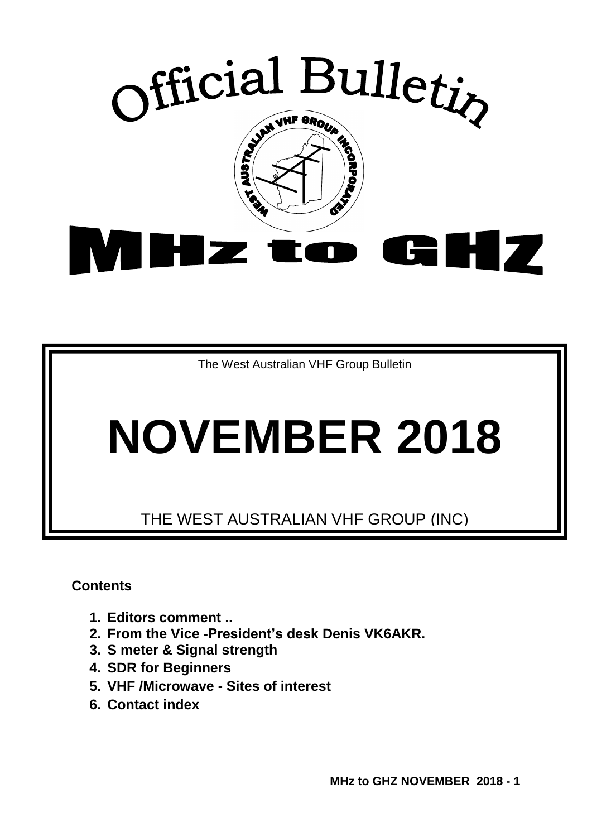

The West Australian VHF Group Bulletin

# **NOVEMBER 2018**

THE WEST AUSTRALIAN VHF GROUP (INC)

**Contents** 

- **1. Editors comment ..**
- **2. From the Vice -President's desk Denis VK6AKR.**
- **3. S meter & Signal strength**
- **4. SDR for Beginners**
- **5. VHF /Microwave - Sites of interest**
- **6. Contact index**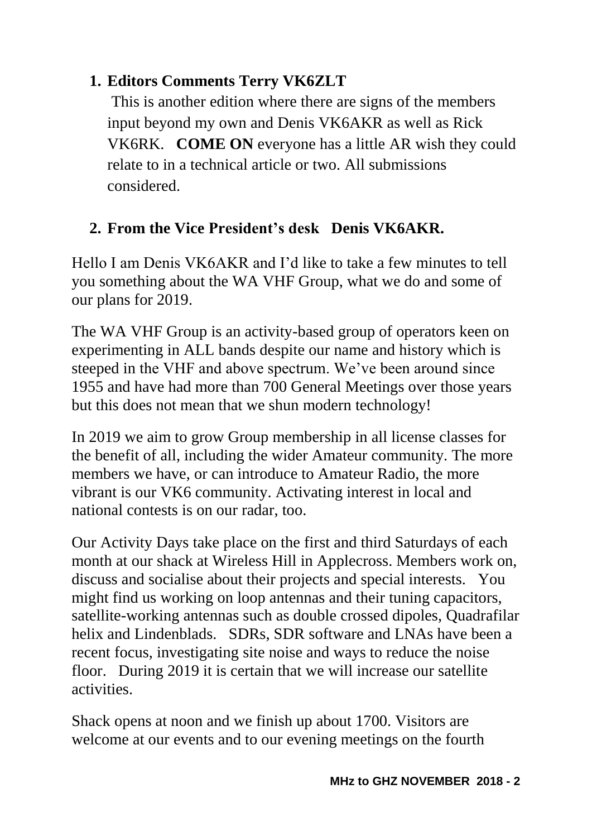#### **1. Editors Comments Terry VK6ZLT**

This is another edition where there are signs of the members input beyond my own and Denis VK6AKR as well as Rick VK6RK. **COME ON** everyone has a little AR wish they could relate to in a technical article or two. All submissions considered.

#### **2. From the Vice President's desk Denis VK6AKR.**

Hello I am Denis VK6AKR and I'd like to take a few minutes to tell you something about the WA VHF Group, what we do and some of our plans for 2019.

The WA VHF Group is an activity-based group of operators keen on experimenting in ALL bands despite our name and history which is steeped in the VHF and above spectrum. We've been around since 1955 and have had more than 700 General Meetings over those years but this does not mean that we shun modern technology!

In 2019 we aim to grow Group membership in all license classes for the benefit of all, including the wider Amateur community. The more members we have, or can introduce to Amateur Radio, the more vibrant is our VK6 community. Activating interest in local and national contests is on our radar, too.

Our Activity Days take place on the first and third Saturdays of each month at our shack at Wireless Hill in Applecross. Members work on, discuss and socialise about their projects and special interests. You might find us working on loop antennas and their tuning capacitors, satellite-working antennas such as double crossed dipoles, Quadrafilar helix and Lindenblads. SDRs, SDR software and LNAs have been a recent focus, investigating site noise and ways to reduce the noise floor. During 2019 it is certain that we will increase our satellite activities.

Shack opens at noon and we finish up about 1700. Visitors are welcome at our events and to our evening meetings on the fourth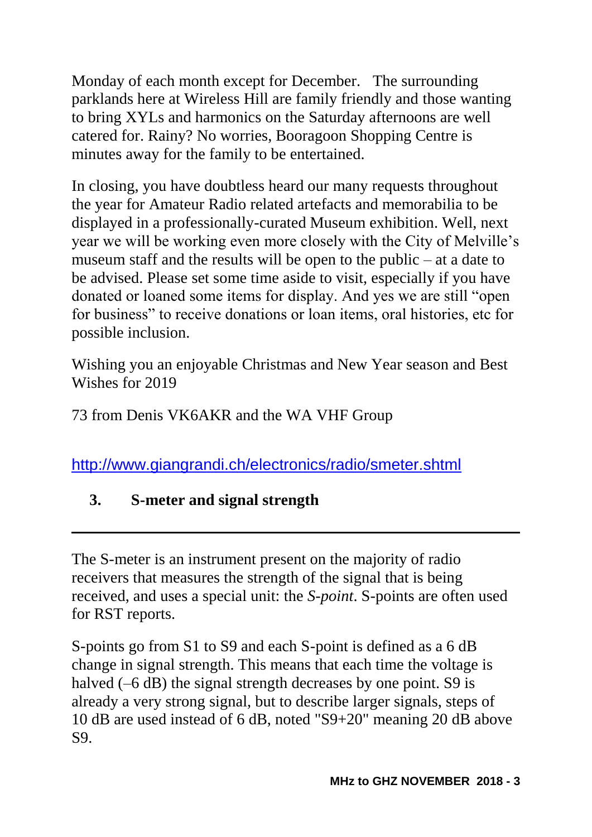Monday of each month except for December. The surrounding parklands here at Wireless Hill are family friendly and those wanting to bring XYLs and harmonics on the Saturday afternoons are well catered for. Rainy? No worries, Booragoon Shopping Centre is minutes away for the family to be entertained.

In closing, you have doubtless heard our many requests throughout the year for Amateur Radio related artefacts and memorabilia to be displayed in a professionally-curated Museum exhibition. Well, next year we will be working even more closely with the City of Melville's museum staff and the results will be open to the public – at a date to be advised. Please set some time aside to visit, especially if you have donated or loaned some items for display. And yes we are still "open for business" to receive donations or loan items, oral histories, etc for possible inclusion.

Wishing you an enjoyable Christmas and New Year season and Best Wishes for 2019

73 from Denis VK6AKR and the WA VHF Group

<http://www.giangrandi.ch/electronics/radio/smeter.shtml>

#### **3. S-meter and signal strength**

The S-meter is an instrument present on the majority of radio receivers that measures the strength of the signal that is being received, and uses a special unit: the *S-point*. S-points are often used for RST reports.

S-points go from S1 to S9 and each S-point is defined as a 6 dB change in signal strength. This means that each time the voltage is halved (–6 dB) the signal strength decreases by one point. S9 is already a very strong signal, but to describe larger signals, steps of 10 dB are used instead of 6 dB, noted "S9+20" meaning 20 dB above S9.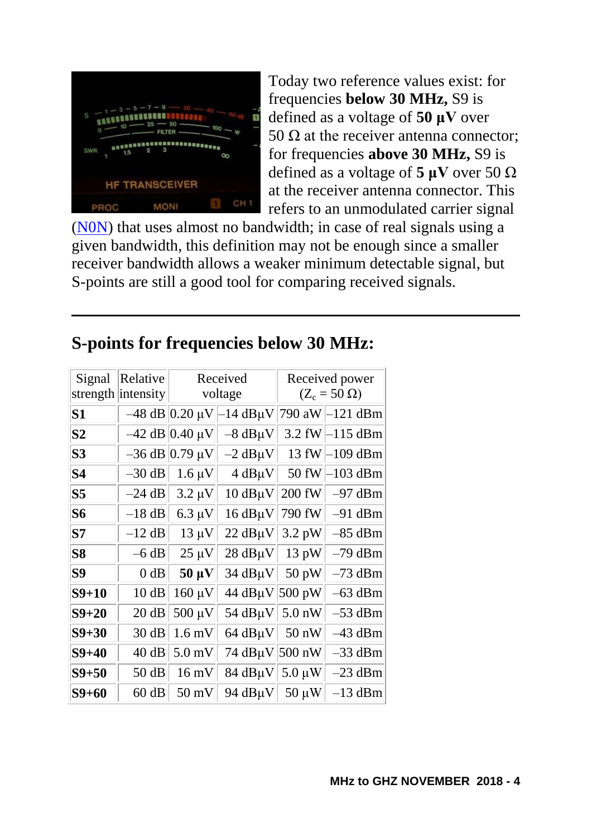

Today two reference values exist: for frequencies **below 30 MHz,** S9 is defined as a voltage of **50 μV** over 50  $\Omega$  at the receiver antenna connector: for frequencies **above 30 MHz,** S9 is defined as a voltage of 5  $\mu$ V over 50  $\Omega$ at the receiver antenna connector. This refers to an unmodulated carrier signal

[\(N0N\)](http://www.giangrandi.ch/electronics/radio/modulation.shtml) that uses almost no bandwidth; in case of real signals using a given bandwidth, this definition may not be enough since a smaller receiver bandwidth allows a weaker minimum detectable signal, but S-points are still a good tool for comparing received signals.

| Signal         | Relative           | Received               |                             | Received power      |                                  |
|----------------|--------------------|------------------------|-----------------------------|---------------------|----------------------------------|
|                | strength intensity | voltage                |                             | $(Z_c = 50 \Omega)$ |                                  |
| <b>S1</b>      |                    | $-48$ dB 0.20 $\mu$ V  | $14$ dB $\mu$ V             | 790 aW              | $-121$ dBm                       |
| S <sub>2</sub> |                    | $-42$ dB 0.40 µV       | $-8$ dB $\mu$ V             |                     | 3.2 fW $\left  -115 \right $ dBm |
| S <sub>3</sub> |                    | $-36$ dB $ 0.79 \mu V$ | $-2$ dB $\mu$ V             | 13 fW               | -109 dBm                         |
| <b>S4</b>      | $-30$ dB           | $1.6 \mu V$            | $4 dB\mu V$                 | 50 fW               | $-103$ dBm                       |
| S <sub>5</sub> | $-24$ dB           | $3.2 \mu V$            | $10$ dB $\mu$ V             | 200 fW              | $-97$ dBm                        |
| <b>S6</b>      | $-18$ dB           | $6.3 \mu V$            | $16$ dB $\mu$ V             | 790 fW              | $-91$ dBm                        |
| S7             | $-12$ dB           | $13 \mu V$             | $22 \text{ dB} \mu\text{V}$ | $3.2$ pW            | $-85$ dBm                        |
| <b>S8</b>      | $-6$ dB            | $25 \mu V$             | $28$ dB $\mu$ V             | 13 pW               | $-79$ dBm                        |
| S9             | $0$ dB             | $50 \mu V$             | $34$ dB $\mu$ V             | 50 pW               | $-73$ dBm                        |
| $S9+10$        | 10dB               | $160 \mu V$            | 44 dBµV 500 pW              |                     | -63 dBm                          |
| $S9 + 20$      | 20 dB              | $500 \mu V$            | 54 $dB\mu$ V 5.0 nW         |                     | $-53$ dBm                        |
| $S9 + 30$      | 30 dB              | $1.6$ mV               | $64$ dB $\mu$ V             | $50 \text{ nW}$     | $-43$ dBm                        |
| $S9 + 40$      | 40 dB              | $5.0$ mV               | 74 dBµV 500 nW              |                     | $-33$ dBm                        |
| $S9 + 50$      | 50 dB              | $16 \text{ mV}$        | $84$ dB $\mu$ V             | $5.0 \mu W$         | -23 dBm                          |
| S9+60          | 60 dB              | $50 \text{ mV}$        | 94 $dB\mu V$                | $50 \mu W$          | $-13$ dBm                        |

### **S-points for frequencies below 30 MHz:**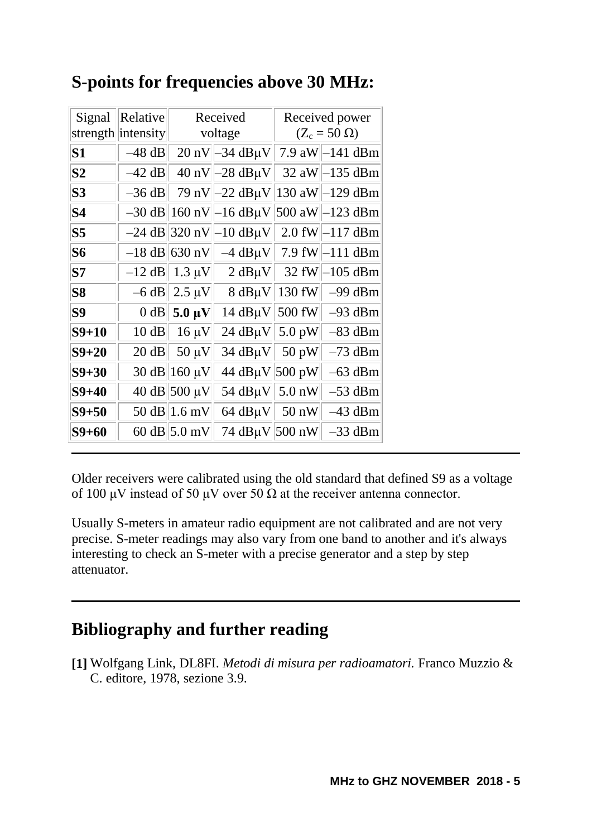| Signal         | Relative           | Received                                 |                                                                                       | Received power      |                                          |
|----------------|--------------------|------------------------------------------|---------------------------------------------------------------------------------------|---------------------|------------------------------------------|
|                | strength intensity | voltage                                  |                                                                                       | $(Z_c = 50 \Omega)$ |                                          |
| S <sub>1</sub> | $-48$ dB           |                                          | 20 nV $\left -34 \text{ dB}_{\mu}$ V $\right $ 7.9 aW $\left -141 \text{ dBm}\right $ |                     |                                          |
| $\bf{S2}$      | $-42$ dB           |                                          | 40 nV $\left -28 \text{ dB}\mu\text{V}\right $                                        |                     | 32 aW $\vert$ -135 dBm                   |
| S <sub>3</sub> | $-36$ dB           | 79 nV                                    |                                                                                       |                     | –22 dBµV 130 aW –129 dBm                 |
| S <sub>4</sub> |                    | $-30$ dB   160 nV                        |                                                                                       |                     | –16 dBµV∥500 aW∥–123 dBm                 |
| S <sub>5</sub> |                    | $-24$ dB 320 nV                          | $-10$ dBµV $\vert$                                                                    |                     | 2.0 fW $\left  -117 \text{ dBm} \right $ |
| <b>S6</b>      |                    | $-18$ dB 630 nV                          |                                                                                       |                     | $-4$ dBµV  7.9 fW -111 dBm               |
| S7             |                    | $-12$ dB   1.3 µV                        | 2 dB $\mu$ V 32 fW                                                                    |                     | –105 dBm                                 |
| <b>S8</b>      |                    | $-6$ dB 2.5 $\mu$ V                      | $8$ dB $\mu$ V                                                                        | 130 fW              | $-99$ dBm                                |
| S9             |                    | 0 dB $\parallel$ 5.0 $\mu$ V $\parallel$ | 14 $dB\mu$ V 500 fW                                                                   |                     | $-93$ dBm                                |
| $S9+10$        | $10$ dB            | $16 \mu V$                               | 24 $dB\mu$ V 5.0 pW                                                                   |                     | -83 dBm                                  |
| $S9 + 20$      | 20 dB              | $50 \mu V$                               | 34 $dB\mu V$ 50 pW                                                                    |                     | $-73$ dBm                                |
| $S9 + 30$      |                    | 30 dB 160 $\mu$ V                        | 44 dBµV 500 pW                                                                        |                     | 63 dBm                                   |
| $S9 + 40$      |                    | $40 \text{ dB}$ 500 µV                   | 54 $dB\mu$ V 5.0 nW                                                                   |                     | $-53$ dBm                                |
| $S9 + 50$      |                    | 50 dB $ 1.6 \text{ mV} $                 | 64 $dB\mu V$ 50 nW                                                                    |                     | 43 dBm                                   |
| S9+60          |                    | 60 dB $ 5.0 \text{ mV} $                 | 74 dBµV 500 nW                                                                        |                     | -33 dBm                                  |

#### **S-points for frequencies above 30 MHz:**

Older receivers were calibrated using the old standard that defined S9 as a voltage of 100 μV instead of 50 μV over 50 Ω at the receiver antenna connector.

Usually S-meters in amateur radio equipment are not calibrated and are not very precise. S-meter readings may also vary from one band to another and it's always interesting to check an S-meter with a precise generator and a step by step attenuator.

#### **Bibliography and further reading**

**[1]** Wolfgang Link, DL8FI. *Metodi di misura per radioamatori.* Franco Muzzio & C. editore, 1978, sezione 3.9.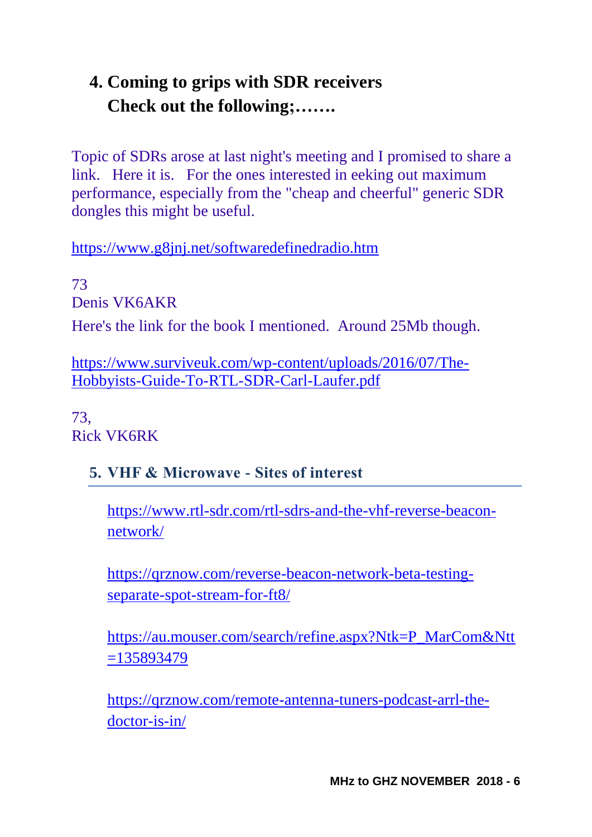## **4. Coming to grips with SDR receivers Check out the following;…….**

Topic of SDRs arose at last night's meeting and I promised to share a link. Here it is. For the ones interested in eeking out maximum performance, especially from the "cheap and cheerful" generic SDR dongles this might be useful.

<https://www.g8jnj.net/softwaredefinedradio.htm>

73 Denis VK6AKR Here's the link for the book I mentioned. Around 25Mb though.

[https://www.surviveuk.com/wp-content/uploads/2016/07/The-](https://www.surviveuk.com/wp-content/uploads/2016/07/The-Hobbyists-Guide-To-RTL-SDR-Carl-Laufer.pdf)[Hobbyists-Guide-To-RTL-SDR-Carl-Laufer.pdf](https://www.surviveuk.com/wp-content/uploads/2016/07/The-Hobbyists-Guide-To-RTL-SDR-Carl-Laufer.pdf)

73, Rick VK6RK

#### **5. VHF & Microwave - Sites of interest**

[https://www.rtl-sdr.com/rtl-sdrs-and-the-vhf-reverse-beacon](https://www.rtl-sdr.com/rtl-sdrs-and-the-vhf-reverse-beacon-network/)[network/](https://www.rtl-sdr.com/rtl-sdrs-and-the-vhf-reverse-beacon-network/)

[https://qrznow.com/reverse-beacon-network-beta-testing](https://qrznow.com/reverse-beacon-network-beta-testing-separate-spot-stream-for-ft8/)[separate-spot-stream-for-ft8/](https://qrznow.com/reverse-beacon-network-beta-testing-separate-spot-stream-for-ft8/)

[https://au.mouser.com/search/refine.aspx?Ntk=P\\_MarCom&Ntt](https://au.mouser.com/search/refine.aspx?Ntk=P_MarCom&Ntt=135893479) [=135893479](https://au.mouser.com/search/refine.aspx?Ntk=P_MarCom&Ntt=135893479)

[https://qrznow.com/remote-antenna-tuners-podcast-arrl-the](https://qrznow.com/remote-antenna-tuners-podcast-arrl-the-doctor-is-in/)[doctor-is-in/](https://qrznow.com/remote-antenna-tuners-podcast-arrl-the-doctor-is-in/)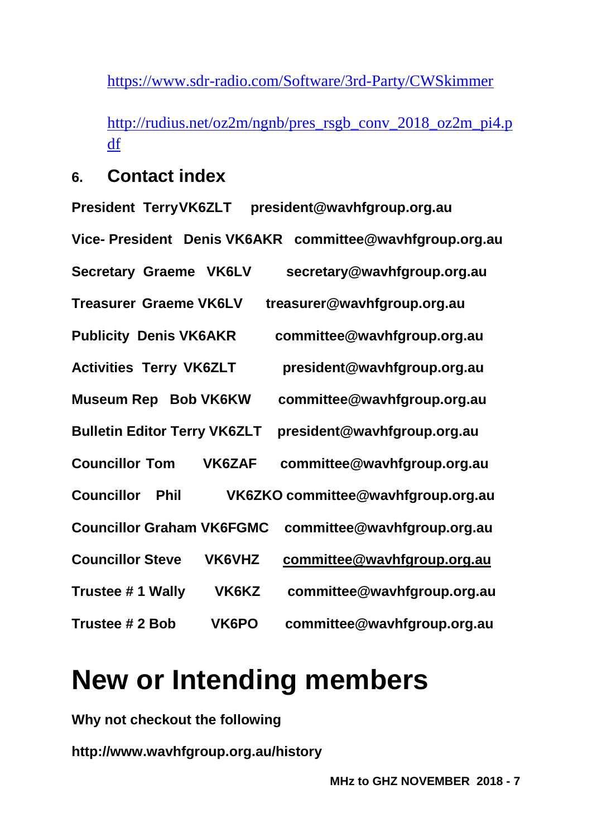<https://www.sdr-radio.com/Software/3rd-Party/CWSkimmer>

[http://rudius.net/oz2m/ngnb/pres\\_rsgb\\_conv\\_2018\\_oz2m\\_pi4.p](http://rudius.net/oz2m/ngnb/pres_rsgb_conv_2018_oz2m_pi4.pdf) [df](http://rudius.net/oz2m/ngnb/pres_rsgb_conv_2018_oz2m_pi4.pdf)

#### **6. Contact index**

**President TerryVK6ZLT president@wavhfgroup.org.au Vice- President Denis VK6AKR committee@wavhfgroup.org.au Secretary Graeme VK6LV secretary@wavhfgroup.org.au Treasurer Graeme VK6LV treasurer@wavhfgroup.org.au Publicity Denis VK6AKR committee@wavhfgroup.org.au Activities Terry VK6ZLT president@wavhfgroup.org.au Museum Rep Bob VK6KW committee@wavhfgroup.org.au Bulletin Editor Terry VK6ZLT president@wavhfgroup.org.au Councillor Tom VK6ZAF committee@wavhfgroup.org.au Councillor Phil VK6ZKO committee@wavhfgroup.org.au Councillor Graham VK6FGMC committee@wavhfgroup.org.au Councillor Steve VK6VHZ [committee@wavhfgroup.org.au](mailto:committee@wavhfgroup.org.au) Trustee # 1 Wally VK6KZ committee@wavhfgroup.org.au Trustee # 2 Bob VK6PO committee@wavhfgroup.org.au**

# **New or Intending members**

**Why not checkout the following**

**http://www.wavhfgroup.org.au/history**